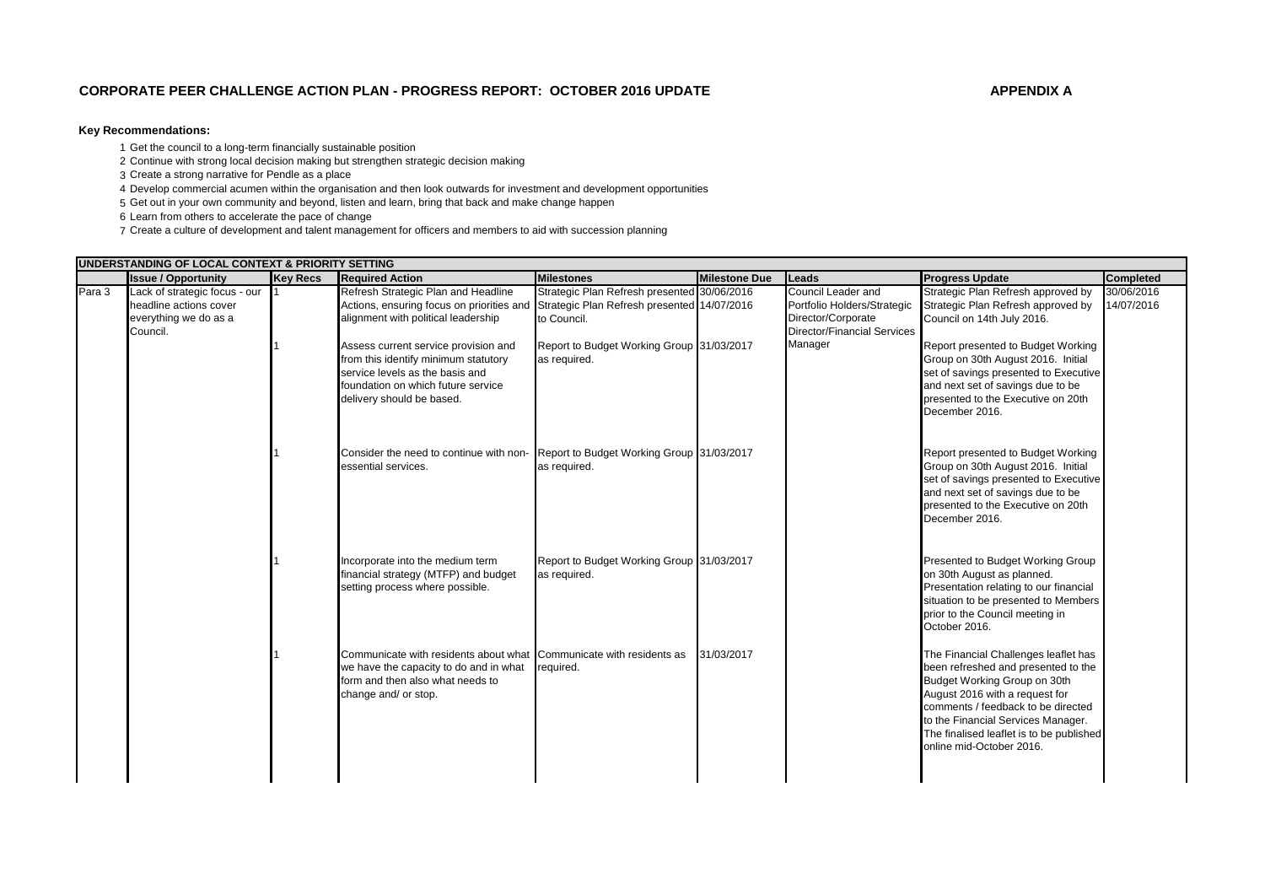## **Key Recommendations:**

1 Get the council to a long-term financially sustainable position

- 2 Continue with strong local decision making but strengthen strategic decision making
- 3 Create a strong narrative for Pendle as a place
- 4 Develop commercial acumen within the organisation and then look outwards for investment and development opportunities
- 5 Get out in your own community and beyond, listen and learn, bring that back and make change happen

6 Learn from others to accelerate the pace of change

7 Create a culture of development and talent management for officers and members to aid with succession planning

|        | UNDERSTANDING OF LOCAL CONTEXT & PRIORITY SETTING                                            |                 |                                                                                                                                                                                    |                                                            |                      |                                                                                                               |                                                                                                                                                                                                                                                                                                   |                          |
|--------|----------------------------------------------------------------------------------------------|-----------------|------------------------------------------------------------------------------------------------------------------------------------------------------------------------------------|------------------------------------------------------------|----------------------|---------------------------------------------------------------------------------------------------------------|---------------------------------------------------------------------------------------------------------------------------------------------------------------------------------------------------------------------------------------------------------------------------------------------------|--------------------------|
|        | <b>Issue / Opportunity</b>                                                                   | <b>Key Recs</b> | <b>Required Action</b>                                                                                                                                                             | <b>Milestones</b>                                          | <b>Milestone Due</b> | Leads                                                                                                         | <b>Progress Update</b>                                                                                                                                                                                                                                                                            | <b>Completed</b>         |
| Para 3 | Lack of strategic focus - our<br>headline actions cover<br>everything we do as a<br>Council. |                 | Refresh Strategic Plan and Headline<br>Actions, ensuring focus on priorities and Strategic Plan Refresh presented 14/07/2016<br>alignment with political leadership                | Strategic Plan Refresh presented 30/06/2016<br>to Council. |                      | Council Leader and<br>Portfolio Holders/Strategic<br>Director/Corporate<br><b>Director/Financial Services</b> | Strategic Plan Refresh approved by<br>Strategic Plan Refresh approved by<br>Council on 14th July 2016.                                                                                                                                                                                            | 30/06/2016<br>14/07/2016 |
|        |                                                                                              |                 | Assess current service provision and<br>from this identify minimum statutory<br>service levels as the basis and<br>foundation on which future service<br>delivery should be based. | Report to Budget Working Group 31/03/2017<br>as required.  |                      | Manager                                                                                                       | Report presented to Budget Working<br>Group on 30th August 2016. Initial<br>set of savings presented to Executive<br>and next set of savings due to be<br>presented to the Executive on 20th<br>December 2016.                                                                                    |                          |
|        |                                                                                              |                 | Consider the need to continue with non-<br>essential services.                                                                                                                     | Report to Budget Working Group 31/03/2017<br>as required.  |                      |                                                                                                               | Report presented to Budget Working<br>Group on 30th August 2016. Initial<br>set of savings presented to Executive<br>and next set of savings due to be<br>presented to the Executive on 20th<br>December 2016.                                                                                    |                          |
|        |                                                                                              |                 | Incorporate into the medium term<br>financial strategy (MTFP) and budget<br>setting process where possible.                                                                        | Report to Budget Working Group 31/03/2017<br>as required.  |                      |                                                                                                               | Presented to Budget Working Group<br>on 30th August as planned.<br>Presentation relating to our financial<br>situation to be presented to Members<br>prior to the Council meeting in<br>October 2016.                                                                                             |                          |
|        |                                                                                              |                 | Communicate with residents about what Communicate with residents as<br>we have the capacity to do and in what<br>form and then also what needs to<br>change and/ or stop.          | required.                                                  | 31/03/2017           |                                                                                                               | The Financial Challenges leaflet has<br>been refreshed and presented to the<br>Budget Working Group on 30th<br>August 2016 with a request for<br>comments / feedback to be directed<br>to the Financial Services Manager.<br>The finalised leaflet is to be published<br>online mid-October 2016. |                          |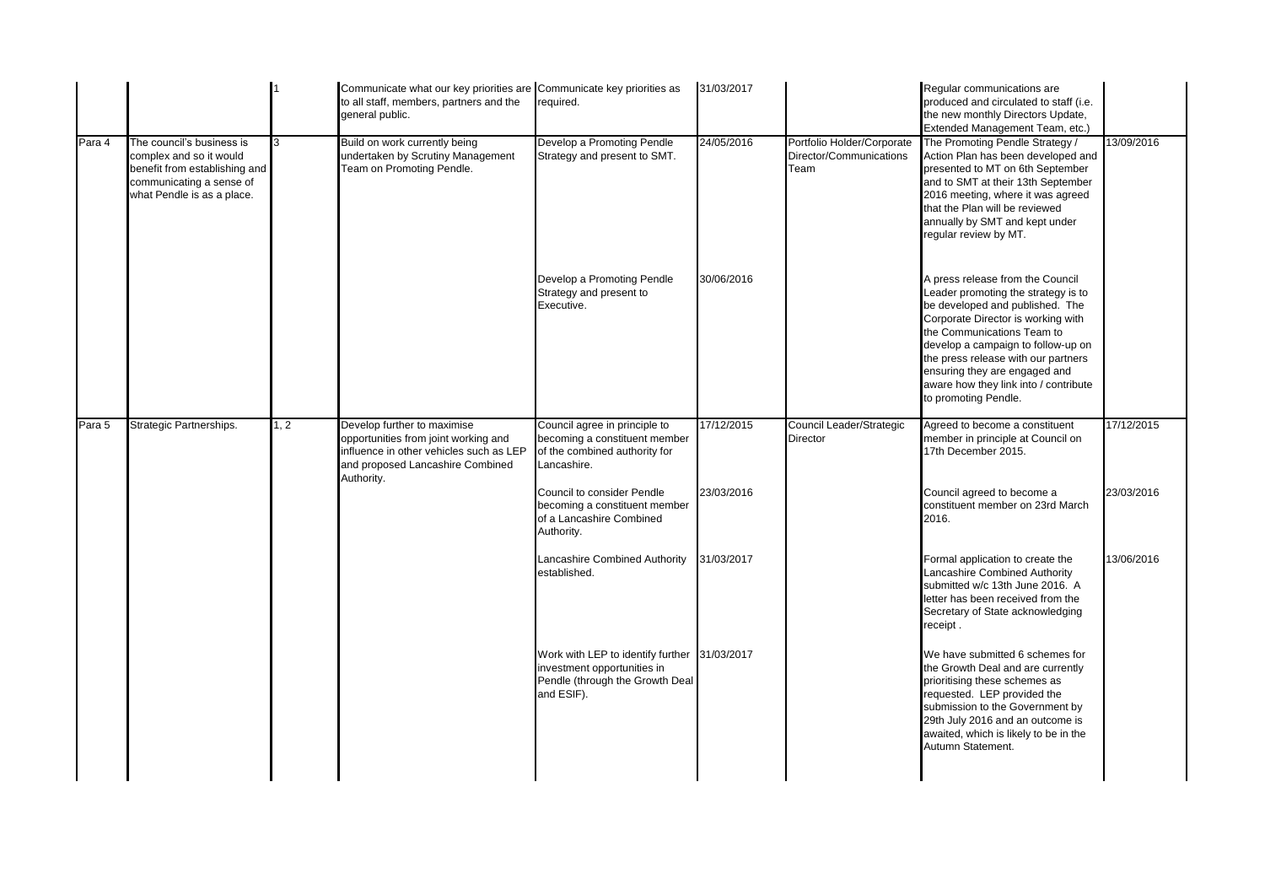|        |                                                                                                                                                 |      | Communicate what our key priorities are Communicate key priorities as<br>to all staff, members, partners and the<br>general public.                              | required.                                                                                                                    | 31/03/2017 |                                                               | Regular communications are<br>produced and circulated to staff (i.e.<br>the new monthly Directors Update,<br>Extended Management Team, etc.)                                                                                                                                                                                                                  |            |
|--------|-------------------------------------------------------------------------------------------------------------------------------------------------|------|------------------------------------------------------------------------------------------------------------------------------------------------------------------|------------------------------------------------------------------------------------------------------------------------------|------------|---------------------------------------------------------------|---------------------------------------------------------------------------------------------------------------------------------------------------------------------------------------------------------------------------------------------------------------------------------------------------------------------------------------------------------------|------------|
| Para 4 | The council's business is<br>complex and so it would<br>benefit from establishing and<br>communicating a sense of<br>what Pendle is as a place. | 3    | Build on work currently being<br>undertaken by Scrutiny Management<br><b>Team on Promoting Pendle.</b>                                                           | Develop a Promoting Pendle<br>Strategy and present to SMT.                                                                   | 24/05/2016 | Portfolio Holder/Corporate<br>Director/Communications<br>Team | The Promoting Pendle Strategy /<br>Action Plan has been developed and<br>presented to MT on 6th September<br>and to SMT at their 13th September<br>2016 meeting, where it was agreed<br>that the Plan will be reviewed<br>annually by SMT and kept under<br>regular review by MT.                                                                             | 13/09/2016 |
|        |                                                                                                                                                 |      |                                                                                                                                                                  | Develop a Promoting Pendle<br>Strategy and present to<br>Executive.                                                          | 30/06/2016 |                                                               | A press release from the Council<br>Leader promoting the strategy is to<br>be developed and published. The<br>Corporate Director is working with<br>the Communications Team to<br>develop a campaign to follow-up on<br>the press release with our partners<br>ensuring they are engaged and<br>aware how they link into / contribute<br>to promoting Pendle. |            |
| Para 5 | Strategic Partnerships.                                                                                                                         | 1, 2 | Develop further to maximise<br>opportunities from joint working and<br>influence in other vehicles such as LEP<br>and proposed Lancashire Combined<br>Authority. | Council agree in principle to<br>becoming a constituent member<br>of the combined authority for<br>Lancashire.               | 17/12/2015 | Council Leader/Strategic<br><b>Director</b>                   | Agreed to become a constituent<br>member in principle at Council on<br>17th December 2015.                                                                                                                                                                                                                                                                    | 17/12/2015 |
|        |                                                                                                                                                 |      |                                                                                                                                                                  | Council to consider Pendle<br>becoming a constituent member<br>of a Lancashire Combined<br>Authority.                        | 23/03/2016 |                                                               | Council agreed to become a<br>constituent member on 23rd March<br>2016.                                                                                                                                                                                                                                                                                       | 23/03/2016 |
|        |                                                                                                                                                 |      |                                                                                                                                                                  | Lancashire Combined Authority<br>established.                                                                                | 31/03/2017 |                                                               | Formal application to create the<br>Lancashire Combined Authority<br>submitted w/c 13th June 2016. A<br>letter has been received from the<br>Secretary of State acknowledging<br>receipt.                                                                                                                                                                     | 13/06/2016 |
|        |                                                                                                                                                 |      |                                                                                                                                                                  | Work with LEP to identify further 31/03/2017<br>investment opportunities in<br>Pendle (through the Growth Deal<br>and ESIF). |            |                                                               | We have submitted 6 schemes for<br>the Growth Deal and are currently<br>prioritising these schemes as<br>requested. LEP provided the<br>submission to the Government by<br>29th July 2016 and an outcome is<br>awaited, which is likely to be in the<br>Autumn Statement.                                                                                     |            |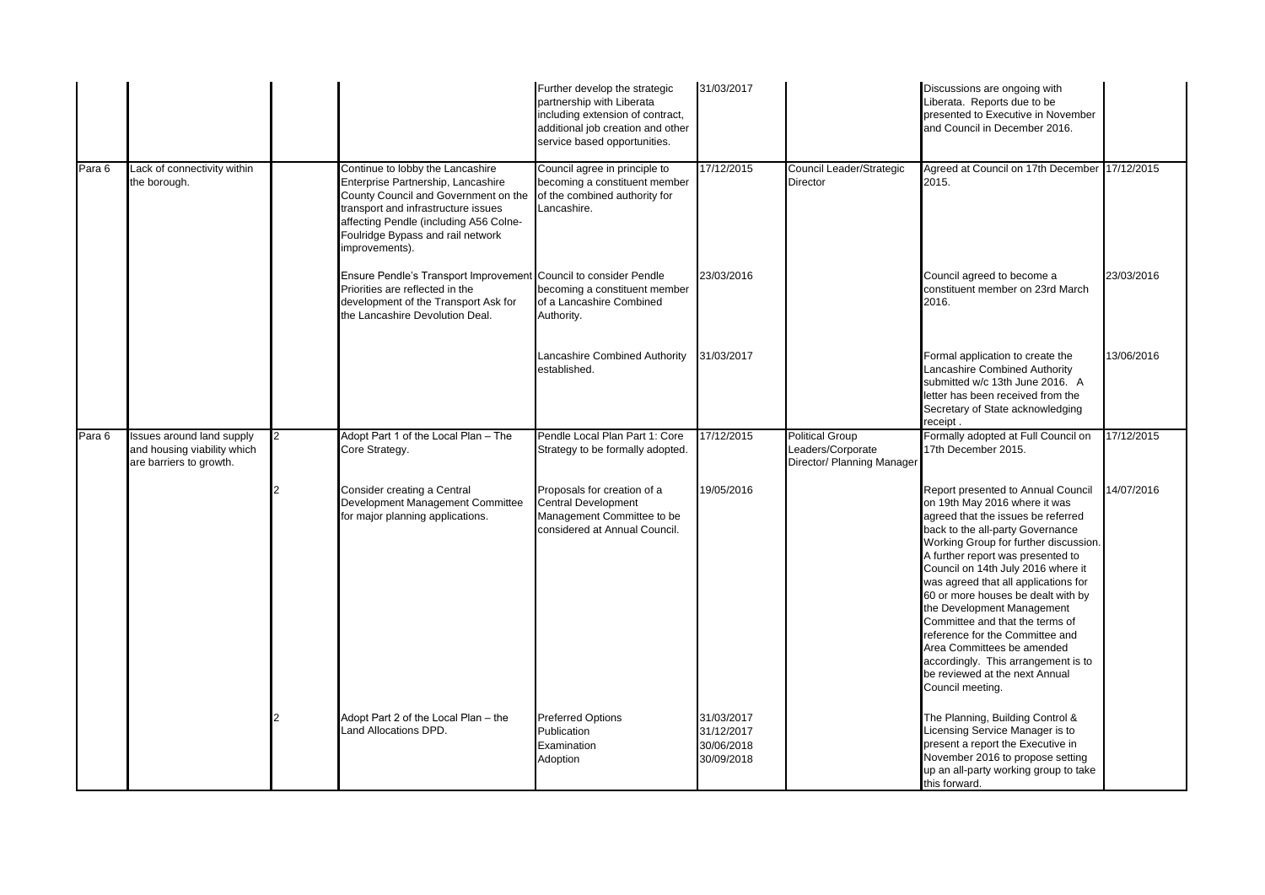|        |                                                                                            |                |                                                                                                                                                                                                                                                        | Further develop the strategic<br>partnership with Liberata<br>including extension of contract,<br>additional job creation and other<br>service based opportunities. | 31/03/2017                                           |                                                                           | Discussions are ongoing with<br>Liberata. Reports due to be<br>presented to Executive in November<br>and Council in December 2016.                                                                                                                                                                                                                                                                                                                                                                                                                                             |            |
|--------|--------------------------------------------------------------------------------------------|----------------|--------------------------------------------------------------------------------------------------------------------------------------------------------------------------------------------------------------------------------------------------------|---------------------------------------------------------------------------------------------------------------------------------------------------------------------|------------------------------------------------------|---------------------------------------------------------------------------|--------------------------------------------------------------------------------------------------------------------------------------------------------------------------------------------------------------------------------------------------------------------------------------------------------------------------------------------------------------------------------------------------------------------------------------------------------------------------------------------------------------------------------------------------------------------------------|------------|
| Para 6 | Lack of connectivity within<br>the borough.                                                |                | Continue to lobby the Lancashire<br>Enterprise Partnership, Lancashire<br>County Council and Government on the<br>transport and infrastructure issues<br>affecting Pendle (including A56 Colne-<br>Foulridge Bypass and rail network<br>improvements). | Council agree in principle to<br>becoming a constituent member<br>of the combined authority for<br>Lancashire.                                                      | 17/12/2015                                           | Council Leader/Strategic<br><b>Director</b>                               | Agreed at Council on 17th December<br>2015.                                                                                                                                                                                                                                                                                                                                                                                                                                                                                                                                    | 17/12/2015 |
|        |                                                                                            |                | Ensure Pendle's Transport Improvement Council to consider Pendle<br>Priorities are reflected in the<br>development of the Transport Ask for<br>the Lancashire Devolution Deal.                                                                         | becoming a constituent member<br>of a Lancashire Combined<br>Authority.                                                                                             | 23/03/2016                                           |                                                                           | Council agreed to become a<br>constituent member on 23rd March<br>2016.                                                                                                                                                                                                                                                                                                                                                                                                                                                                                                        | 23/03/2016 |
|        |                                                                                            |                |                                                                                                                                                                                                                                                        | Lancashire Combined Authority<br>established.                                                                                                                       | 31/03/2017                                           |                                                                           | Formal application to create the<br>Lancashire Combined Authority<br>submitted w/c 13th June 2016. A<br>letter has been received from the<br>Secretary of State acknowledging<br>receipt.                                                                                                                                                                                                                                                                                                                                                                                      | 13/06/2016 |
| Para 6 | <b>Issues</b> around land supply<br>and housing viability which<br>are barriers to growth. | $\overline{2}$ | Adopt Part 1 of the Local Plan - The<br>Core Strategy.                                                                                                                                                                                                 | Pendle Local Plan Part 1: Core<br>Strategy to be formally adopted.                                                                                                  | 17/12/2015                                           | <b>Political Group</b><br>Leaders/Corporate<br>Director/ Planning Manager | Formally adopted at Full Council on<br>17th December 2015.                                                                                                                                                                                                                                                                                                                                                                                                                                                                                                                     | 17/12/2015 |
|        |                                                                                            |                | Consider creating a Central<br>Development Management Committee<br>for major planning applications.                                                                                                                                                    | Proposals for creation of a<br><b>Central Development</b><br>Management Committee to be<br>considered at Annual Council.                                            | 19/05/2016                                           |                                                                           | Report presented to Annual Council<br>on 19th May 2016 where it was<br>agreed that the issues be referred<br>back to the all-party Governance<br>Working Group for further discussion.<br>A further report was presented to<br>Council on 14th July 2016 where it<br>was agreed that all applications for<br>60 or more houses be dealt with by<br>the Development Management<br>Committee and that the terms of<br>reference for the Committee and<br>Area Committees be amended<br>accordingly. This arrangement is to<br>be reviewed at the next Annual<br>Council meeting. | 14/07/2016 |
|        |                                                                                            |                | Adopt Part 2 of the Local Plan - the<br>Land Allocations DPD.                                                                                                                                                                                          | <b>Preferred Options</b><br>Publication<br>Examination<br>Adoption                                                                                                  | 31/03/2017<br>31/12/2017<br>30/06/2018<br>30/09/2018 |                                                                           | The Planning, Building Control &<br>Licensing Service Manager is to<br>present a report the Executive in<br>November 2016 to propose setting<br>up an all-party working group to take<br>this forward.                                                                                                                                                                                                                                                                                                                                                                         |            |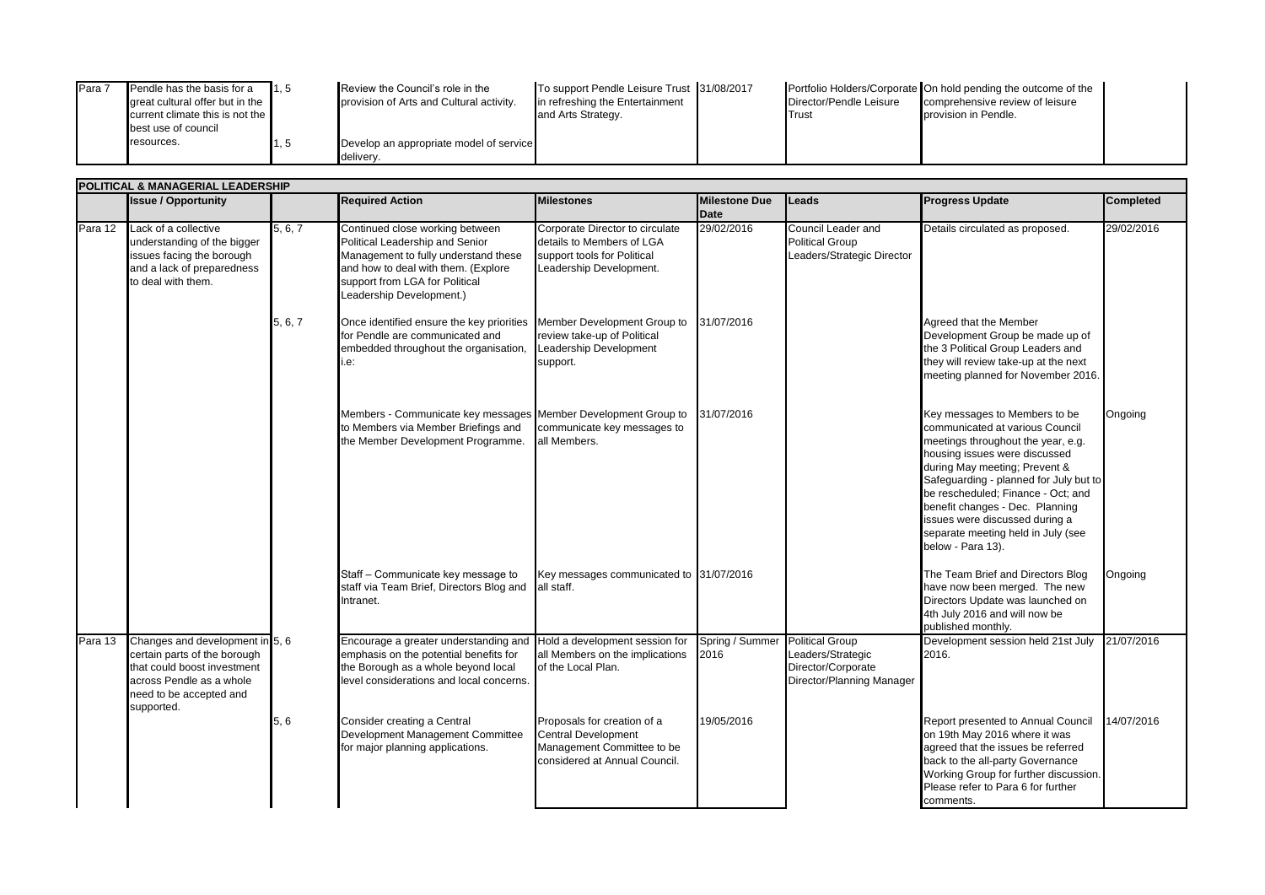| Para | Pendle has the basis for a        | 11.5 | Review the Council's role in the         | To support Pendle Leisure Trust 31/08/2017 |                         | Portfolio Holders/Corporate On hold pending the outcome of the |  |
|------|-----------------------------------|------|------------------------------------------|--------------------------------------------|-------------------------|----------------------------------------------------------------|--|
|      | areat cultural offer but in the   |      | provision of Arts and Cultural activity. | in refreshing the Entertainment            | Director/Pendle Leisure | comprehensive review of leisure                                |  |
|      | current climate this is not the I |      |                                          | and Arts Strategy.                         | Trust                   | provision in Pendle.                                           |  |
|      | best use of council               |      |                                          |                                            |                         |                                                                |  |
|      | resources.                        | 1, 5 | Develop an appropriate model of service  |                                            |                         |                                                                |  |
|      |                                   |      | delivery.                                |                                            |                         |                                                                |  |

|         | POLITICAL & MANAGERIAL LEADERSHIP                                                                                                                                   |         |                                                                                                                                                                                                                 |                                                                                                                          |                           |                                                                                                |                                                                                                                                                                                                                                                                                                                                                                                          |                  |  |  |  |
|---------|---------------------------------------------------------------------------------------------------------------------------------------------------------------------|---------|-----------------------------------------------------------------------------------------------------------------------------------------------------------------------------------------------------------------|--------------------------------------------------------------------------------------------------------------------------|---------------------------|------------------------------------------------------------------------------------------------|------------------------------------------------------------------------------------------------------------------------------------------------------------------------------------------------------------------------------------------------------------------------------------------------------------------------------------------------------------------------------------------|------------------|--|--|--|
|         | <b>Issue / Opportunity</b>                                                                                                                                          |         | <b>Required Action</b>                                                                                                                                                                                          | <b>Milestones</b>                                                                                                        | <b>Milestone Due</b>      | Leads                                                                                          | <b>Progress Update</b>                                                                                                                                                                                                                                                                                                                                                                   | <b>Completed</b> |  |  |  |
| Para 12 | Lack of a collective<br>understanding of the bigger<br>issues facing the borough<br>and a lack of preparedness<br>to deal with them.                                | 5, 6, 7 | Continued close working between<br>Political Leadership and Senior<br>Management to fully understand these<br>and how to deal with them. (Explore<br>support from LGA for Political<br>Leadership Development.) | Corporate Director to circulate<br>details to Members of LGA<br>support tools for Political<br>Leadership Development.   | <b>Date</b><br>29/02/2016 | Council Leader and<br><b>Political Group</b><br>Leaders/Strategic Director                     | Details circulated as proposed.                                                                                                                                                                                                                                                                                                                                                          | 29/02/2016       |  |  |  |
|         |                                                                                                                                                                     | 5, 6, 7 | Once identified ensure the key priorities Member Development Group to<br>for Pendle are communicated and<br>embedded throughout the organisation,<br>i.e:                                                       | review take-up of Political<br>Leadership Development<br>support.                                                        | 31/07/2016                |                                                                                                | Agreed that the Member<br>Development Group be made up of<br>the 3 Political Group Leaders and<br>they will review take-up at the next<br>meeting planned for November 2016.                                                                                                                                                                                                             |                  |  |  |  |
|         |                                                                                                                                                                     |         | Members - Communicate key messages Member Development Group to<br>to Members via Member Briefings and<br>the Member Development Programme.                                                                      | communicate key messages to<br>all Members.                                                                              | 31/07/2016                |                                                                                                | Key messages to Members to be<br>communicated at various Council<br>meetings throughout the year, e.g.<br>housing issues were discussed<br>during May meeting; Prevent &<br>Safeguarding - planned for July but to<br>be rescheduled; Finance - Oct; and<br>benefit changes - Dec. Planning<br>issues were discussed during a<br>separate meeting held in July (see<br>below - Para 13). | Ongoing          |  |  |  |
|         |                                                                                                                                                                     |         | Staff - Communicate key message to<br>staff via Team Brief, Directors Blog and<br>Intranet.                                                                                                                     | Key messages communicated to 31/07/2016<br>all staff.                                                                    |                           |                                                                                                | The Team Brief and Directors Blog<br>have now been merged. The new<br>Directors Update was launched on<br>4th July 2016 and will now be<br>published monthly.                                                                                                                                                                                                                            | Ongoing          |  |  |  |
| Para 13 | Changes and development in 5, 6<br>certain parts of the borough<br>that could boost investment<br>across Pendle as a whole<br>need to be accepted and<br>supported. |         | Encourage a greater understanding and Hold a development session for<br>emphasis on the potential benefits for<br>the Borough as a whole beyond local<br>level considerations and local concerns.               | all Members on the implications<br>of the Local Plan.                                                                    | Spring / Summer<br>2016   | <b>Political Group</b><br>Leaders/Strategic<br>Director/Corporate<br>Director/Planning Manager | Development session held 21st July<br>2016.                                                                                                                                                                                                                                                                                                                                              | 21/07/2016       |  |  |  |
|         |                                                                                                                                                                     | 5, 6    | Consider creating a Central<br>Development Management Committee<br>for major planning applications.                                                                                                             | Proposals for creation of a<br><b>Central Development</b><br>Management Committee to be<br>considered at Annual Council. | 19/05/2016                |                                                                                                | Report presented to Annual Council<br>on 19th May 2016 where it was<br>agreed that the issues be referred<br>back to the all-party Governance<br>Working Group for further discussion.<br>Please refer to Para 6 for further<br>comments.                                                                                                                                                | 14/07/2016       |  |  |  |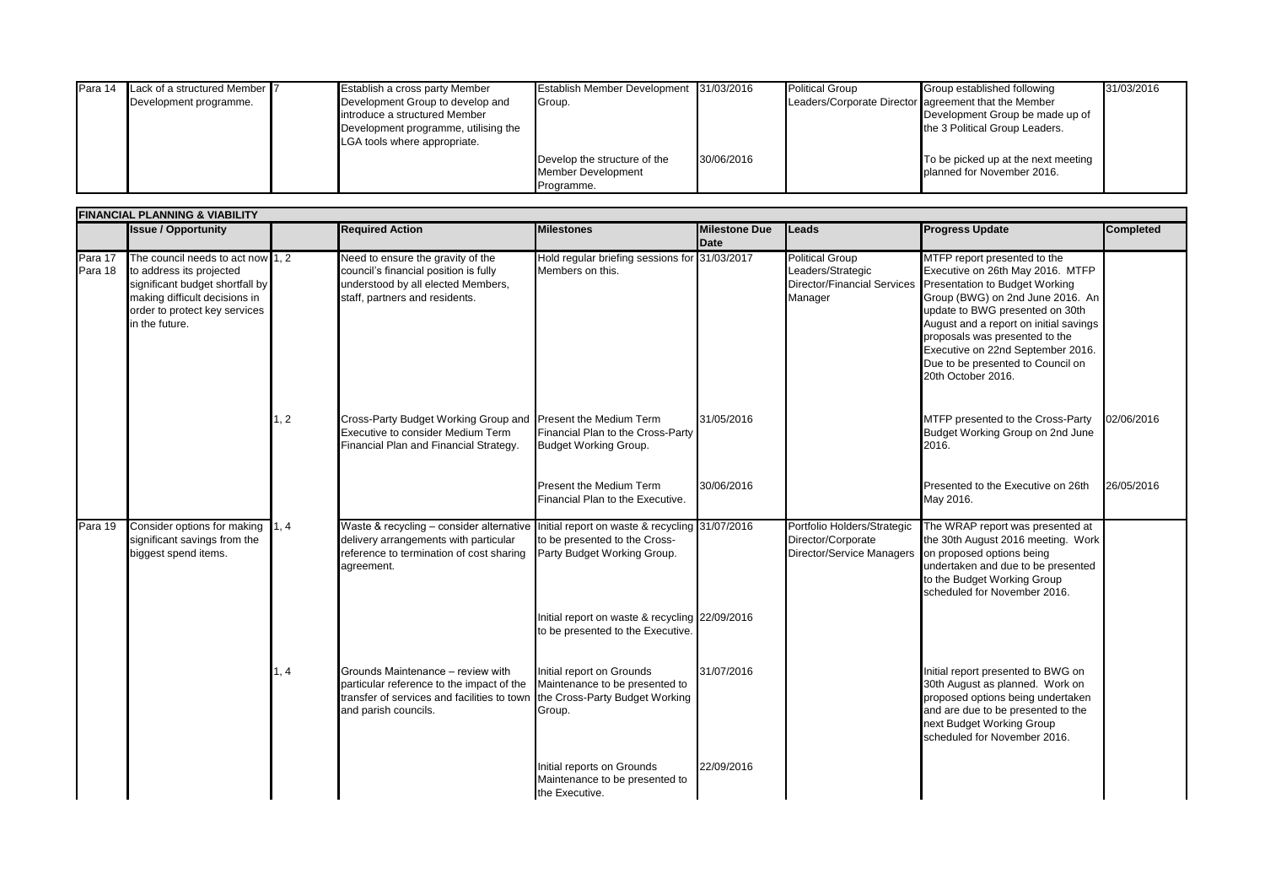| IPara 14 | Lack of a structured Member 7 | Establish a cross party Member       | Establish Member Development 31/03/2016 |            | <b>Political Group</b> | Group established following                          | 31/03/2016 |
|----------|-------------------------------|--------------------------------------|-----------------------------------------|------------|------------------------|------------------------------------------------------|------------|
|          | Development programme.        | Development Group to develop and     | Group.                                  |            |                        | Leaders/Corporate Director agreement that the Member |            |
|          |                               | introduce a structured Member        |                                         |            |                        | Development Group be made up of                      |            |
|          |                               | Development programme, utilising the |                                         |            |                        | the 3 Political Group Leaders.                       |            |
|          |                               | LGA tools where appropriate.         |                                         |            |                        |                                                      |            |
|          |                               |                                      | Develop the structure of the            | 30/06/2016 |                        | To be picked up at the next meeting                  |            |
|          |                               |                                      | <b>Member Development</b>               |            |                        | planned for November 2016.                           |            |
|          |                               |                                      | Programme.                              |            |                        |                                                      |            |

|                    | <b>FINANCIAL PLANNING &amp; VIABILITY</b>                                                                                                                                            |               |                                                                                                                                                                                            |                                                                                     |                                     |                                                                                       |                                                                                                                                                                                                                                                                                                                                                       |                  |  |  |  |
|--------------------|--------------------------------------------------------------------------------------------------------------------------------------------------------------------------------------|---------------|--------------------------------------------------------------------------------------------------------------------------------------------------------------------------------------------|-------------------------------------------------------------------------------------|-------------------------------------|---------------------------------------------------------------------------------------|-------------------------------------------------------------------------------------------------------------------------------------------------------------------------------------------------------------------------------------------------------------------------------------------------------------------------------------------------------|------------------|--|--|--|
|                    | <b>Issue / Opportunity</b>                                                                                                                                                           |               | <b>Required Action</b>                                                                                                                                                                     | <b>Milestones</b>                                                                   | <b>Milestone Due</b><br><b>Date</b> | <b>Leads</b>                                                                          | <b>Progress Update</b>                                                                                                                                                                                                                                                                                                                                | <b>Completed</b> |  |  |  |
| Para 17<br>Para 18 | The council needs to act now 1, 2<br>to address its projected<br>significant budget shortfall by<br>making difficult decisions in<br>order to protect key services<br>in the future. |               | Need to ensure the gravity of the<br>council's financial position is fully<br>understood by all elected Members,<br>staff, partners and residents.                                         | Hold regular briefing sessions for 31/03/2017<br>Members on this.                   |                                     | <b>Political Group</b><br>Leaders/Strategic<br>Director/Financial Services<br>Manager | MTFP report presented to the<br>Executive on 26th May 2016. MTFP<br>Presentation to Budget Working<br>Group (BWG) on 2nd June 2016. An<br>update to BWG presented on 30th<br>August and a report on initial savings<br>proposals was presented to the<br>Executive on 22nd September 2016.<br>Due to be presented to Council on<br>20th October 2016. |                  |  |  |  |
|                    |                                                                                                                                                                                      | 1, 2          | Cross-Party Budget Working Group and Present the Medium Term<br>Executive to consider Medium Term<br>Financial Plan and Financial Strategy.                                                | Financial Plan to the Cross-Party<br><b>Budget Working Group.</b>                   | 31/05/2016                          |                                                                                       | MTFP presented to the Cross-Party<br>Budget Working Group on 2nd June<br>2016.                                                                                                                                                                                                                                                                        | 02/06/2016       |  |  |  |
|                    |                                                                                                                                                                                      |               |                                                                                                                                                                                            | Present the Medium Term<br>Financial Plan to the Executive.                         | 30/06/2016                          |                                                                                       | Presented to the Executive on 26th<br>May 2016.                                                                                                                                                                                                                                                                                                       | 26/05/2016       |  |  |  |
| Para 19            | Consider options for making<br>significant savings from the<br>biggest spend items.                                                                                                  | 1, 4          | Waste & recycling - consider alternative Initial report on waste & recycling 31/07/2016<br>delivery arrangements with particular<br>reference to termination of cost sharing<br>agreement. | to be presented to the Cross-<br>Party Budget Working Group.                        |                                     | Portfolio Holders/Strategic<br>Director/Corporate<br>Director/Service Managers        | The WRAP report was presented at<br>the 30th August 2016 meeting. Work<br>on proposed options being<br>undertaken and due to be presented<br>to the Budget Working Group<br>scheduled for November 2016.                                                                                                                                              |                  |  |  |  |
|                    |                                                                                                                                                                                      |               |                                                                                                                                                                                            | Initial report on waste & recycling 22/09/2016<br>to be presented to the Executive. |                                     |                                                                                       |                                                                                                                                                                                                                                                                                                                                                       |                  |  |  |  |
|                    |                                                                                                                                                                                      | $\frac{4}{3}$ | Grounds Maintenance - review with<br>particular reference to the impact of the<br>transfer of services and facilities to town the Cross-Party Budget Working<br>and parish councils.       | Initial report on Grounds<br>Maintenance to be presented to<br>Group.               | 31/07/2016                          |                                                                                       | Initial report presented to BWG on<br>30th August as planned. Work on<br>proposed options being undertaken<br>and are due to be presented to the<br>next Budget Working Group<br>scheduled for November 2016.                                                                                                                                         |                  |  |  |  |
|                    |                                                                                                                                                                                      |               |                                                                                                                                                                                            | Initial reports on Grounds<br>Maintenance to be presented to<br>the Executive.      | 22/09/2016                          |                                                                                       |                                                                                                                                                                                                                                                                                                                                                       |                  |  |  |  |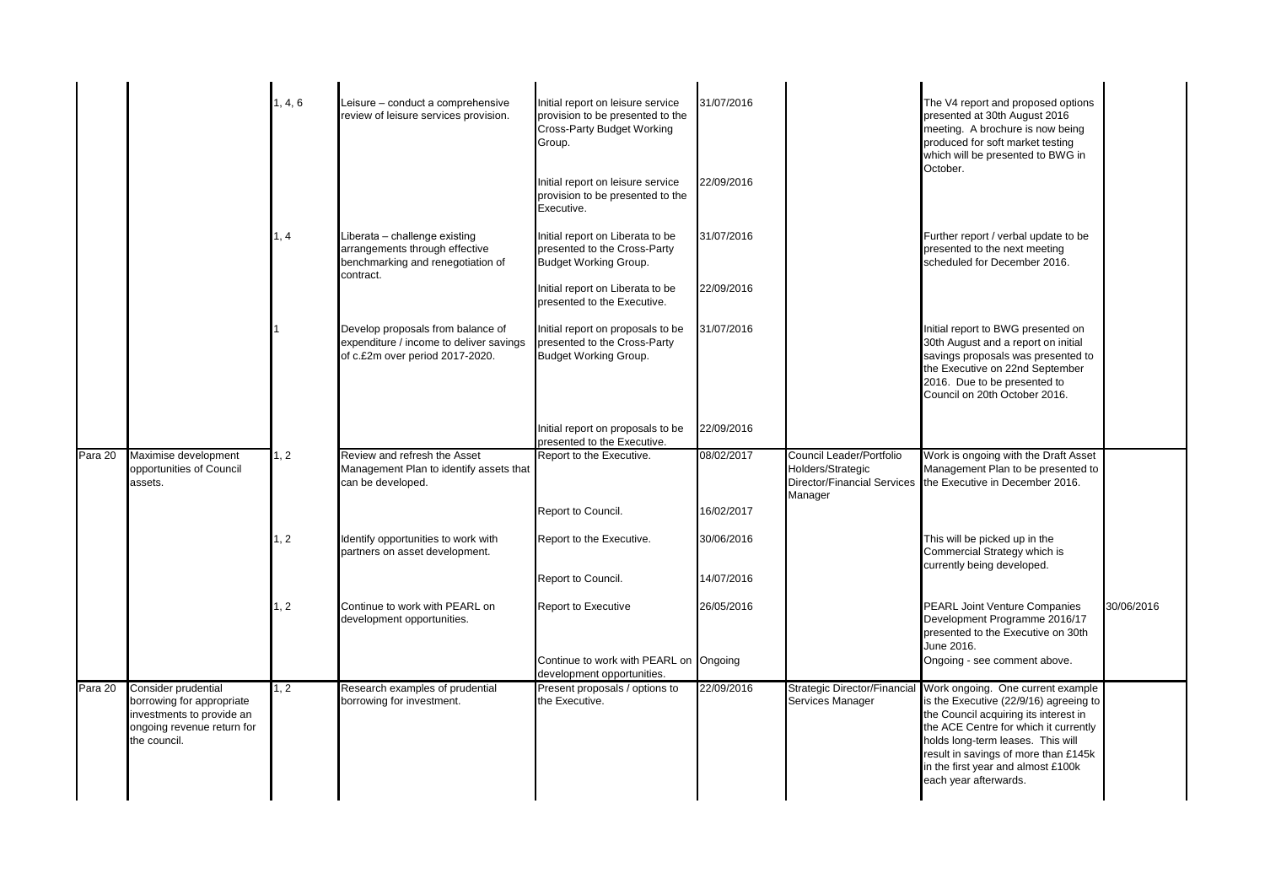|           |                                                                                                             | 1, 4, 6 | Leisure - conduct a comprehensive<br>review of leisure services provision.                                        | Initial report on leisure service<br>provision to be presented to the<br><b>Cross-Party Budget Working</b><br>Group.<br>Initial report on leisure service<br>provision to be presented to the | 31/07/2016<br>22/09/2016 |                                                          | The V4 report and proposed options<br>presented at 30th August 2016<br>meeting. A brochure is now being<br>produced for soft market testing<br>which will be presented to BWG in<br>October.                        |            |  |
|-----------|-------------------------------------------------------------------------------------------------------------|---------|-------------------------------------------------------------------------------------------------------------------|-----------------------------------------------------------------------------------------------------------------------------------------------------------------------------------------------|--------------------------|----------------------------------------------------------|---------------------------------------------------------------------------------------------------------------------------------------------------------------------------------------------------------------------|------------|--|
|           |                                                                                                             | 1, 4    | Liberata - challenge existing<br>arrangements through effective<br>benchmarking and renegotiation of<br>contract. | Executive.<br>Initial report on Liberata to be<br>presented to the Cross-Party<br><b>Budget Working Group.</b><br>Initial report on Liberata to be                                            | 31/07/2016<br>22/09/2016 |                                                          | Further report / verbal update to be<br>presented to the next meeting<br>scheduled for December 2016.                                                                                                               |            |  |
|           |                                                                                                             |         | Develop proposals from balance of<br>expenditure / income to deliver savings<br>of c.£2m over period 2017-2020.   | presented to the Executive.<br>Initial report on proposals to be<br>presented to the Cross-Party<br><b>Budget Working Group.</b>                                                              | 31/07/2016               |                                                          | Initial report to BWG presented on<br>30th August and a report on initial<br>savings proposals was presented to<br>the Executive on 22nd September<br>2016. Due to be presented to<br>Council on 20th October 2016. |            |  |
|           |                                                                                                             |         |                                                                                                                   | Initial report on proposals to be<br>presented to the Executive.                                                                                                                              | 22/09/2016               |                                                          |                                                                                                                                                                                                                     |            |  |
| Para $20$ | Maximise development<br>opportunities of Council<br>assets.                                                 | 1, 2    | Review and refresh the Asset<br>Management Plan to identify assets that<br>can be developed.                      | Report to the Executive.                                                                                                                                                                      | 08/02/2017               | Council Leader/Portfolio<br>Holders/Strategic<br>Manager | Work is ongoing with the Draft Asset<br>Management Plan to be presented to<br>Director/Financial Services the Executive in December 2016.                                                                           |            |  |
|           |                                                                                                             |         |                                                                                                                   | Report to Council.                                                                                                                                                                            | 16/02/2017               |                                                          |                                                                                                                                                                                                                     |            |  |
|           |                                                                                                             | 1, 2    | Identify opportunities to work with<br>partners on asset development.                                             | Report to the Executive.                                                                                                                                                                      | 30/06/2016               |                                                          | This will be picked up in the<br>Commercial Strategy which is<br>currently being developed.                                                                                                                         |            |  |
|           |                                                                                                             |         |                                                                                                                   | Report to Council.                                                                                                                                                                            | 14/07/2016               |                                                          |                                                                                                                                                                                                                     |            |  |
|           |                                                                                                             | 2       | Continue to work with PEARL on<br>development opportunities.                                                      | Report to Executive                                                                                                                                                                           | 26/05/2016               |                                                          | <b>PEARL Joint Venture Companies</b><br>Development Programme 2016/17<br>presented to the Executive on 30th<br>June 2016.                                                                                           | 30/06/2016 |  |
|           |                                                                                                             |         |                                                                                                                   | Continue to work with PEARL on Ongoing<br>development opportunities.                                                                                                                          |                          |                                                          | Ongoing - see comment above.                                                                                                                                                                                        |            |  |
| Para 20   | Consider prudential<br>borrowing for appropriate<br>investments to provide an<br>ongoing revenue return for | 1, 2    | Research examples of prudential<br>borrowing for investment.                                                      | Present proposals / options to<br>the Executive.                                                                                                                                              | 22/09/2016               | Strategic Director/Financial<br>Services Manager         | Work ongoing. One current example<br>is the Executive (22/9/16) agreeing to<br>the Council acquiring its interest in<br>the ACE Centre for which it currently<br>holds long-term leases. This will                  |            |  |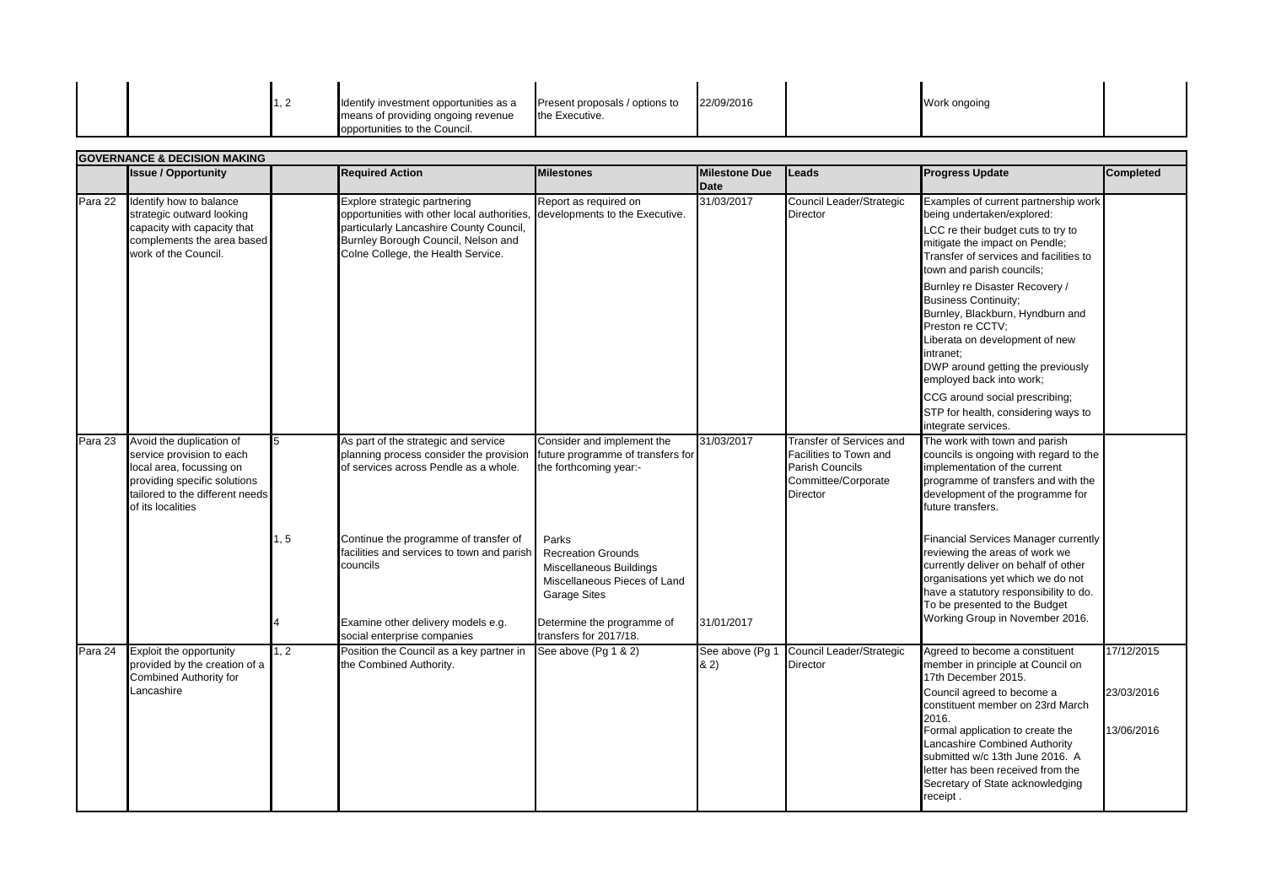|  |  | Identify investment opportunities as a | Present proposals / options to | 22/09/2016 | Work ongoing |  |
|--|--|----------------------------------------|--------------------------------|------------|--------------|--|
|  |  | means of providing ongoing revenue     | the Executive.                 |            |              |  |
|  |  | opportunities to the Council.          |                                |            |              |  |

|         | <b>GOVERNANCE &amp; DECISION MAKING</b>                                                                                                                                   |      |                                                                                                                                                                                                     |                                                                                                                      |                                     |                                                                                                                               |                                                                                                                                                                                                                                                                                                                                                                    |                                        |  |  |  |
|---------|---------------------------------------------------------------------------------------------------------------------------------------------------------------------------|------|-----------------------------------------------------------------------------------------------------------------------------------------------------------------------------------------------------|----------------------------------------------------------------------------------------------------------------------|-------------------------------------|-------------------------------------------------------------------------------------------------------------------------------|--------------------------------------------------------------------------------------------------------------------------------------------------------------------------------------------------------------------------------------------------------------------------------------------------------------------------------------------------------------------|----------------------------------------|--|--|--|
|         | <b>Issue / Opportunity</b>                                                                                                                                                |      | <b>Required Action</b>                                                                                                                                                                              | <b>Milestones</b>                                                                                                    | <b>Milestone Due</b><br><b>Date</b> | Leads                                                                                                                         | <b>Progress Update</b>                                                                                                                                                                                                                                                                                                                                             | <b>Completed</b>                       |  |  |  |
| Para 22 | Identify how to balance<br>strategic outward looking<br>capacity with capacity that<br>complements the area based<br>work of the Council.                                 |      | Explore strategic partnering<br>opportunities with other local authorities,<br>particularly Lancashire County Council,<br>Burnley Borough Council, Nelson and<br>Colne College, the Health Service. | Report as required on<br>developments to the Executive.                                                              | 31/03/2017                          | Council Leader/Strategic<br><b>Director</b>                                                                                   | Examples of current partnership work<br>being undertaken/explored:<br>LCC re their budget cuts to try to<br>mitigate the impact on Pendle;<br>Transfer of services and facilities to<br>town and parish councils;                                                                                                                                                  |                                        |  |  |  |
|         |                                                                                                                                                                           |      |                                                                                                                                                                                                     |                                                                                                                      |                                     |                                                                                                                               | Burnley re Disaster Recovery /<br><b>Business Continuity:</b><br>Burnley, Blackburn, Hyndburn and<br>Preston re CCTV;<br>Liberata on development of new<br>intranet;<br>DWP around getting the previously<br>employed back into work;                                                                                                                              |                                        |  |  |  |
|         |                                                                                                                                                                           |      |                                                                                                                                                                                                     |                                                                                                                      |                                     |                                                                                                                               | CCG around social prescribing;<br>STP for health, considering ways to<br>integrate services.                                                                                                                                                                                                                                                                       |                                        |  |  |  |
| Para 23 | Avoid the duplication of<br>service provision to each<br>local area, focussing on<br>providing specific solutions<br>tailored to the different needs<br>of its localities | 5    | As part of the strategic and service<br>planning process consider the provision future programme of transfers for<br>of services across Pendle as a whole.                                          | Consider and implement the<br>the forthcoming year:-                                                                 | 31/03/2017                          | <b>Transfer of Services and</b><br>Facilities to Town and<br><b>Parish Councils</b><br>Committee/Corporate<br><b>Director</b> | The work with town and parish<br>councils is ongoing with regard to the<br>implementation of the current<br>programme of transfers and with the<br>development of the programme for<br>future transfers.                                                                                                                                                           |                                        |  |  |  |
|         |                                                                                                                                                                           | 1, 5 | Continue the programme of transfer of<br>facilities and services to town and parish<br>councils                                                                                                     | Parks<br><b>Recreation Grounds</b><br>Miscellaneous Buildings<br>Miscellaneous Pieces of Land<br><b>Garage Sites</b> |                                     |                                                                                                                               | Financial Services Manager currently<br>reviewing the areas of work we<br>currently deliver on behalf of other<br>organisations yet which we do not<br>have a statutory responsibility to do.<br>To be presented to the Budget                                                                                                                                     |                                        |  |  |  |
|         |                                                                                                                                                                           |      | Examine other delivery models e.g.<br>social enterprise companies                                                                                                                                   | Determine the programme of<br>transfers for 2017/18.                                                                 | 31/01/2017                          |                                                                                                                               | Working Group in November 2016.                                                                                                                                                                                                                                                                                                                                    |                                        |  |  |  |
| Para 24 | Exploit the opportunity<br>provided by the creation of a<br><b>Combined Authority for</b><br>Lancashire                                                                   | 1, 2 | Position the Council as a key partner in<br>the Combined Authority.                                                                                                                                 | See above (Pg 1 & 2)                                                                                                 | See above (Pg 1<br>82)              | Council Leader/Strategic<br><b>Director</b>                                                                                   | Agreed to become a constituent<br>member in principle at Council on<br>17th December 2015.<br>Council agreed to become a<br>constituent member on 23rd March<br>2016.<br>Formal application to create the<br>Lancashire Combined Authority<br>submitted w/c 13th June 2016. A<br>letter has been received from the<br>Secretary of State acknowledging<br>receipt. | 17/12/2015<br>23/03/2016<br>13/06/2016 |  |  |  |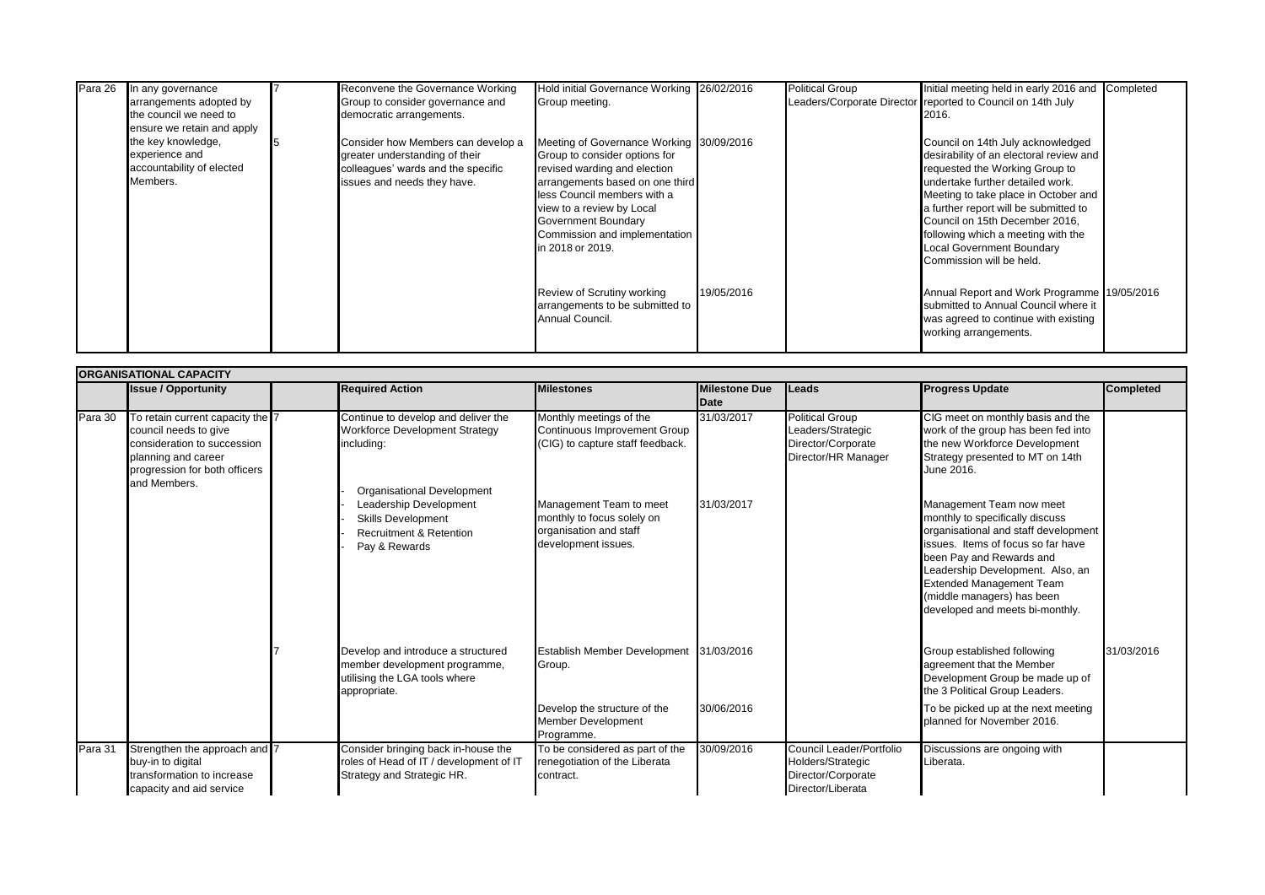| Para 26 | In any governance<br>arrangements adopted by<br>the council we need to<br>ensure we retain and apply | Reconvene the Governance Working<br>Group to consider governance and<br>democratic arrangements.                                          | Hold initial Governance Working 26/02/2016<br>Group meeting.                                                                                                                                                                                                                         |            | <b>Political Group</b> | Initial meeting held in early 2016 and Completed<br>Leaders/Corporate Director reported to Council on 14th July<br>2016.                                                                                                                                                                                                                                                    |  |
|---------|------------------------------------------------------------------------------------------------------|-------------------------------------------------------------------------------------------------------------------------------------------|--------------------------------------------------------------------------------------------------------------------------------------------------------------------------------------------------------------------------------------------------------------------------------------|------------|------------------------|-----------------------------------------------------------------------------------------------------------------------------------------------------------------------------------------------------------------------------------------------------------------------------------------------------------------------------------------------------------------------------|--|
|         | the key knowledge,<br>experience and<br>accountability of elected<br>Members.                        | Consider how Members can develop a<br>greater understanding of their<br>colleagues' wards and the specific<br>issues and needs they have. | Meeting of Governance Working 30/09/2016<br>Group to consider options for<br>revised warding and election<br>arrangements based on one third<br>less Council members with a<br>view to a review by Local<br>Government Boundary<br>Commission and implementation<br>in 2018 or 2019. |            |                        | Council on 14th July acknowledged<br>desirability of an electoral review and<br>requested the Working Group to<br>undertake further detailed work.<br>Meeting to take place in October and<br>a further report will be submitted to<br>Council on 15th December 2016,<br>following which a meeting with the<br><b>Local Government Boundary</b><br>Commission will be held. |  |
|         |                                                                                                      |                                                                                                                                           | Review of Scrutiny working<br>arrangements to be submitted to<br>Annual Council.                                                                                                                                                                                                     | 19/05/2016 |                        | Annual Report and Work Programme 19/05/2016<br>submitted to Annual Council where it<br>was agreed to continue with existing<br>working arrangements.                                                                                                                                                                                                                        |  |

|         | <b>ORGANISATIONAL CAPACITY</b>                                                                                                                                   |  |                                                                                                                                                 |                                                                                                        |                      |                                                                                          |                                                                                                                                                                                                                                                                                                               |                  |  |  |  |
|---------|------------------------------------------------------------------------------------------------------------------------------------------------------------------|--|-------------------------------------------------------------------------------------------------------------------------------------------------|--------------------------------------------------------------------------------------------------------|----------------------|------------------------------------------------------------------------------------------|---------------------------------------------------------------------------------------------------------------------------------------------------------------------------------------------------------------------------------------------------------------------------------------------------------------|------------------|--|--|--|
|         | <b>Issue / Opportunity</b>                                                                                                                                       |  | <b>Required Action</b>                                                                                                                          | <b>Milestones</b>                                                                                      | <b>Milestone Due</b> | Leads                                                                                    | <b>Progress Update</b>                                                                                                                                                                                                                                                                                        | <b>Completed</b> |  |  |  |
|         |                                                                                                                                                                  |  |                                                                                                                                                 |                                                                                                        | <b>IDate</b>         |                                                                                          |                                                                                                                                                                                                                                                                                                               |                  |  |  |  |
| Para 30 | To retain current capacity the 7<br>council needs to give<br>consideration to succession<br>planning and career<br>progression for both officers<br>and Members. |  | Continue to develop and deliver the<br>Workforce Development Strategy<br>including:                                                             | Monthly meetings of the<br>Continuous Improvement Group<br>(CIG) to capture staff feedback.            | 31/03/2017           | <b>Political Group</b><br>Leaders/Strategic<br>Director/Corporate<br>Director/HR Manager | CIG meet on monthly basis and the<br>work of the group has been fed into<br>the new Workforce Development<br>Strategy presented to MT on 14th<br>June 2016.                                                                                                                                                   |                  |  |  |  |
|         |                                                                                                                                                                  |  | <b>Organisational Development</b><br>Leadership Development<br><b>Skills Development</b><br><b>Recruitment &amp; Retention</b><br>Pay & Rewards | Management Team to meet<br>monthly to focus solely on<br>organisation and staff<br>development issues. | 31/03/2017           |                                                                                          | Management Team now meet<br>monthly to specifically discuss<br>organisational and staff development<br>issues. Items of focus so far have<br>been Pay and Rewards and<br>Leadership Development. Also, an<br><b>Extended Management Team</b><br>(middle managers) has been<br>developed and meets bi-monthly. |                  |  |  |  |
|         |                                                                                                                                                                  |  | Develop and introduce a structured<br>member development programme,<br>utilising the LGA tools where<br>appropriate.                            | Establish Member Development 31/03/2016<br>Group.                                                      |                      |                                                                                          | Group established following<br>agreement that the Member<br>Development Group be made up of<br>the 3 Political Group Leaders.                                                                                                                                                                                 | 31/03/2016       |  |  |  |
|         |                                                                                                                                                                  |  |                                                                                                                                                 | Develop the structure of the<br><b>Member Development</b><br>Programme.                                | 30/06/2016           |                                                                                          | To be picked up at the next meeting<br>planned for November 2016.                                                                                                                                                                                                                                             |                  |  |  |  |
| Para 31 | Strengthen the approach and 7<br>buy-in to digital<br>transformation to increase<br>capacity and aid service                                                     |  | Consider bringing back in-house the<br>roles of Head of IT / development of IT<br>Strategy and Strategic HR.                                    | To be considered as part of the<br>renegotiation of the Liberata<br>contract.                          | 30/09/2016           | Council Leader/Portfolio<br>Holders/Strategic<br>Director/Corporate<br>Director/Liberata | Discussions are ongoing with<br>Liberata.                                                                                                                                                                                                                                                                     |                  |  |  |  |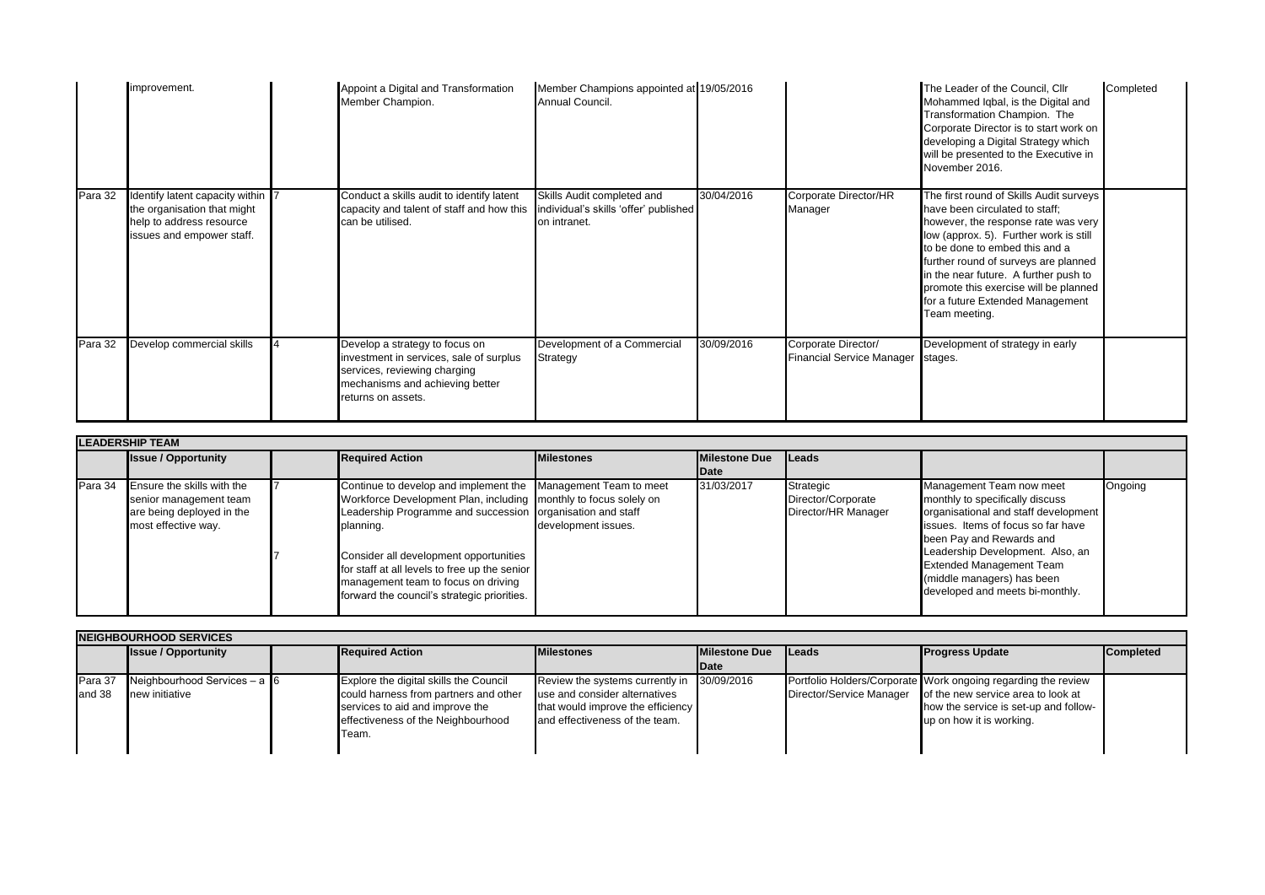|         | improvement.                                                                                                            | Appoint a Digital and Transformation<br>Member Champion.                                                                                                           | Member Champions appointed at 19/05/2016<br>Annual Council.                           |            |                                                          | The Leader of the Council. Cllr<br>Mohammed Iqbal, is the Digital and<br>Transformation Champion. The<br>Corporate Director is to start work on<br>developing a Digital Strategy which<br>will be presented to the Executive in<br>November 2016.                                                                                                                           | Completed |
|---------|-------------------------------------------------------------------------------------------------------------------------|--------------------------------------------------------------------------------------------------------------------------------------------------------------------|---------------------------------------------------------------------------------------|------------|----------------------------------------------------------|-----------------------------------------------------------------------------------------------------------------------------------------------------------------------------------------------------------------------------------------------------------------------------------------------------------------------------------------------------------------------------|-----------|
| Para 32 | Identify latent capacity within<br>the organisation that might<br>help to address resource<br>issues and empower staff. | Conduct a skills audit to identify latent<br>capacity and talent of staff and how this<br>can be utilised.                                                         | Skills Audit completed and<br>individual's skills 'offer' published  <br>on intranet. | 30/04/2016 | Corporate Director/HR<br>Manager                         | The first round of Skills Audit surveys<br>have been circulated to staff;<br>however, the response rate was very<br>low (approx. 5). Further work is still<br>to be done to embed this and a<br>further round of surveys are planned<br>in the near future. A further push to<br>promote this exercise will be planned<br>for a future Extended Management<br>Team meeting. |           |
| Para 32 | Develop commercial skills                                                                                               | Develop a strategy to focus on<br>investment in services, sale of surplus<br>services, reviewing charging<br>mechanisms and achieving better<br>returns on assets. | Development of a Commercial<br>Strategy                                               | 30/09/2016 | Corporate Director/<br>Financial Service Manager stages. | Development of strategy in early                                                                                                                                                                                                                                                                                                                                            |           |

| <b>LEADERSHIP TEAM</b> |                                                                                                                  |  |                                                                                                                                                                                                                                                                                                                                                                                               |                     |                      |                                                        |                                                                                                                                                                                                                                                                                                               |         |  |  |
|------------------------|------------------------------------------------------------------------------------------------------------------|--|-----------------------------------------------------------------------------------------------------------------------------------------------------------------------------------------------------------------------------------------------------------------------------------------------------------------------------------------------------------------------------------------------|---------------------|----------------------|--------------------------------------------------------|---------------------------------------------------------------------------------------------------------------------------------------------------------------------------------------------------------------------------------------------------------------------------------------------------------------|---------|--|--|
|                        | <b>Issue / Opportunity</b>                                                                                       |  | <b>Required Action</b>                                                                                                                                                                                                                                                                                                                                                                        | <b>Milestones</b>   | <b>Milestone Due</b> | <b>ILeads</b>                                          |                                                                                                                                                                                                                                                                                                               |         |  |  |
|                        |                                                                                                                  |  |                                                                                                                                                                                                                                                                                                                                                                                               |                     | Date                 |                                                        |                                                                                                                                                                                                                                                                                                               |         |  |  |
|                        | Para 34 Ensure the skills with the<br>senior management team<br>are being deployed in the<br>most effective way. |  | Continue to develop and implement the Management Team to meet<br>Workforce Development Plan, including monthly to focus solely on<br>Leadership Programme and succession organisation and staff<br>planning.<br>Consider all development opportunities<br>for staff at all levels to free up the senior<br>management team to focus on driving<br>forward the council's strategic priorities. | development issues. | 31/03/2017           | Strategic<br>Director/Corporate<br>Director/HR Manager | Management Team now meet<br>monthly to specifically discuss<br>organisational and staff development<br>issues. Items of focus so far have<br>been Pay and Rewards and<br>Leadership Development. Also, an<br><b>Extended Management Team</b><br>(middle managers) has been<br>developed and meets bi-monthly. | Ongoing |  |  |

| <b>INEIGHBOURHOOD SERVICES</b> |                                                     |  |                                                                                                                                                                    |                                                                                                                                         |                       |               |                                                                                                                                                                                                   |                  |  |  |
|--------------------------------|-----------------------------------------------------|--|--------------------------------------------------------------------------------------------------------------------------------------------------------------------|-----------------------------------------------------------------------------------------------------------------------------------------|-----------------------|---------------|---------------------------------------------------------------------------------------------------------------------------------------------------------------------------------------------------|------------------|--|--|
|                                | <b>Issue / Opportunity</b>                          |  | <b>Required Action</b>                                                                                                                                             | <b>Milestones</b>                                                                                                                       | <b>IMilestone Due</b> | <b>ILeads</b> | <b>Progress Update</b>                                                                                                                                                                            | <b>Completed</b> |  |  |
|                                |                                                     |  |                                                                                                                                                                    |                                                                                                                                         | <b>IDate</b>          |               |                                                                                                                                                                                                   |                  |  |  |
| Para 37<br>land 38             | Neighbourhood Services $- a \, 6$<br>new initiative |  | Explore the digital skills the Council<br>could harness from partners and other<br>services to aid and improve the<br>effectiveness of the Neighbourhood<br>lTeam. | Review the systems currently in<br>use and consider alternatives<br>that would improve the efficiency<br>and effectiveness of the team. | 30/09/2016            |               | Portfolio Holders/Corporate Work ongoing regarding the review<br>Director/Service Manager of the new service area to look at<br>how the service is set-up and follow-<br>up on how it is working. |                  |  |  |